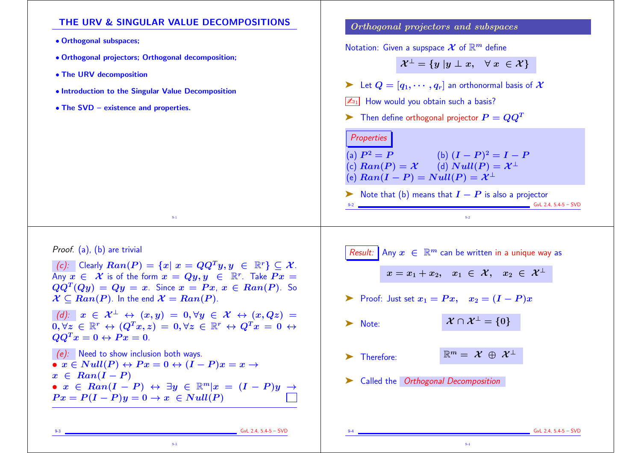## THE URV & SINGULAR VALUE DECOMPOSITIONS • Orthogonal subspaces; • Orthogonal projectors; Orthogonal decomposition; • The URV decomposition • Introduction to the Singular Value Decomposition • The SVD – existence and properties. 9-1 Orthogonal projectors and subspaces Notation: Given a supspace  $\mathcal X$  of  $\mathbb R^m$  define  $\mathcal{X}^{\perp} = \{y | y \perp x, \forall x \in \mathcal{X}\}\$ Example 1 Let  $Q = [q_1, \dots, q_r]$  an orthonormal basis of  $\mathcal{X}$  $\boxed{\mathbb{Z}_{91}}$  How would you obtain such a basis?  $\blacktriangleright$  Then define orthogonal projector  $P = QQ^T$ **Properties** (a)  $P^2 = P$  (b)  $(I - P)^2 = I - P$ (c)  $Ran(P) = X$  (d)  $Null(P) = X^{\perp}$ (e)  $Ran(I - P) = Null(P) = \mathcal{X}^{\perp}$ ► Note that (b) means that  $I - P$  is also a projector  $\frac{1}{2}$  GvL 2.4, 5.4-5 – SVD 9-2 Proof. (a), (b) are trivial (c): Clearly  $Ran(P) = \{x | x = QQ^T u, u \in \mathbb{R}^r\} \subseteq \mathcal{X}$ . Any  $x \in \mathcal{X}$  is of the form  $x = Qy, y \in \mathbb{R}^r$ . Take  $Px =$  $QQ^T (Qy) = Qy = x$ . Since  $x = Px$ ,  $x \in Ran(P)$ . So  $\mathcal{X} \subseteq Ran(P)$ . In the end  $\mathcal{X} = Ran(P)$ . (d):  $x \in \mathcal{X}^{\perp} \leftrightarrow (x, y) = 0, \forall y \in \mathcal{X} \leftrightarrow (x, Qz) =$  $\overline{0,\forall z} \in \mathbb{R}^r \leftrightarrow (Q^T x, z) = 0, \forall z \in \mathbb{R}^r \leftrightarrow Q^T x = 0 \leftrightarrow$  $QQ^T x = 0 \leftrightarrow Px = 0.$ (e): Need to show inclusion both ways. •  $x \in Null(P) \leftrightarrow Px = 0 \leftrightarrow (I - P)x = x \rightarrow$  $x \in Ran(I-P)$ •  $x \in Ran(I - P) \leftrightarrow \exists y \in \mathbb{R}^m | x = (I - P)y \rightarrow$  $Px = P(I - P)y = 0 \rightarrow x \in Null(P)$ Result: Any  $x \in \mathbb{R}^m$  can be written in a unique way as  $x = x_1 + x_2, \quad x_1 \in \mathcal{X}, \quad x_2 \in \mathcal{X}^{\perp}$ ► Proof: Just set  $x_1 = Px$ ,  $x_2 = (I - P)x$ ► Note:  $\mathcal{X} \cap \mathcal{X}^{\perp} = \{0\}$  $\blacktriangleright$  Therefore:  $\mathbb{R}^m = \mathcal{X} \oplus \mathcal{X}^{\perp}$ ➤ Called the Orthogonal Decomposition

## GvL 2.4, 5.4-5 – SVD

9-3

 $GvL$  2.4, 5.4-5 – SVD

9-4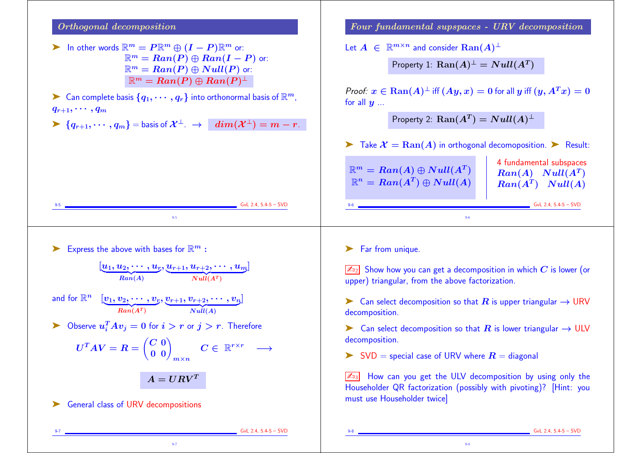## Orthogonal decomposition

- $\triangleright$  In other words  $\mathbb{R}^m = P \mathbb{R}^m \oplus (I P) \mathbb{R}^m$  or:  $\mathbb{R}^m = Ran(P) \oplus Ran(I - P)$  or:  $\mathbb{R}^m = Ran(P) \oplus Null(P)$  or:  $\mathbb{R}^m = Ran(P) \oplus Ran(P)^{\perp}$
- $\blacktriangleright$  Can complete basis  $\{q_1,\cdots,q_r\}$  into orthonormal basis of  $\mathbb{R}^m$ ,  $q_{r+1}, \cdots, q_m$

 $\triangleright \{q_{r+1}, \dots, q_m\} =$  basis of  $\mathcal{X}^{\perp}$ .  $\rightarrow$   $\mid dim(\mathcal{X}^{\perp}) = m - r$ .

Express the above with bases for  $\mathbb{R}^m$  :

 $[\underbrace{u_1, u_2, \cdots, u_r}_{Ran(A)},$ , u $\overline{\phantom{0}}$  $r_{+1}, u_{r+2},$  $\frac{u_{r+2},\cdots,u_m}{Null(A^T)}$  $\lfloor$ 

9-5

and for  $\mathbb{R}^n$   $[\underbrace{v_1, v_2, \cdots, v_r}_{Ran(A^T)}, \underbrace{v_{r+1}, v_{r+2}, \cdots, v_n}_{Null(A)}]$  $\mathbf{l}$ 

 $\blacktriangleright$  Observe  $u_i^TAv_j = 0$  for  $i > r$  or  $j > r$ . Therefore

$$
U^TAV = R = \begin{pmatrix} C & 0 \\ 0 & 0 \end{pmatrix}_{m \times n} \quad C \in \ \mathbb{R}^{r \times r} \quad \longrightarrow
$$

 $A = U R V^T$ 

9-7

▶ General class of URV decompositions

Four fundamental supspaces - URV decomposition

Let  $A \in \mathbb{R}^{m \times n}$  and consider  $\text{Ran}(A)^{\perp}$ 

Property  $1$ :  $\text{Ran}(A)^{\perp} = Null(A^T)$ 

Proof:  $x \in \text{Ran}(A)^{\perp}$  iff  $(Ay, x) = 0$  for all y iff  $(y, A^T x) = 0$ for all  $y$  ...

Property 2:  $\text{Ran}(A^T) = Null(A)^{\perp}$ 

 $\triangleright$  Take  $\mathcal{X} = \text{Ran}(A)$  in orthogonal decomoposition.  $\triangleright$  Result:

| 4 fundamental subspaces |
|-------------------------|
| $Ran(A)$ $Null(A^T)$    |
| $Ran(A^T)$ $Null(A)$    |
|                         |

9-6 GvL 2.4, 5.4-5 – SVD

▶ Far from unique.

 $\sqrt{\mathbb{Z}_{D2}}$  Show how you can get a decomposition in which C is lower (or upper) triangular, from the above factorization.

9-6

► Can select decomposition so that R is upper triangular  $\rightarrow$  URV decomposition.

► Can select decomposition so that R is lower triangular  $\rightarrow$  ULV decomposition.

 $\triangleright$  SVD = special case of URV where  $R =$  diagonal

 $\sqrt{\mathbb{Z}_{33}}$  How can you get the ULV decomposition by using only the Householder QR factorization (possibly with pivoting)? [Hint: you must use Householder twice]

9-8

9-7 GvL 2.4, 5.4-5 – SVD

 $GvL$  2.4, 5.4-5 – SVD

GvL 2.4, 5.4-5 – SVD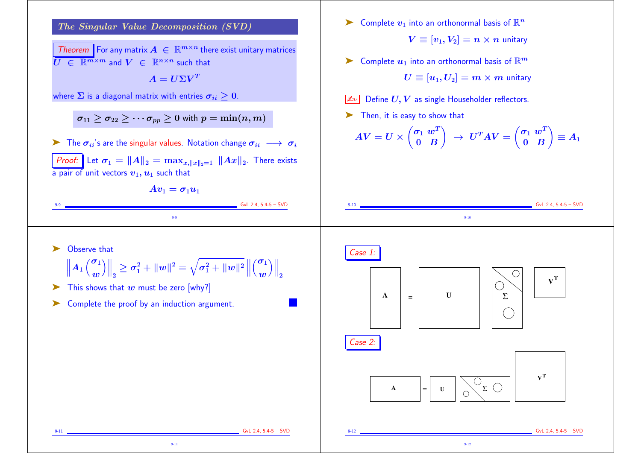

Theorem For any matrix  $A \in \mathbb{R}^{m \times n}$  there exist unitary matrices  $\overline{U} \in \mathbb{R}^{m \times m}$  and  $V \in \mathbb{R}^{n \times n}$  such that

 $A = U\Sigma V^T$ 

where  $\Sigma$  is a diagonal matrix with entries  $\sigma_{ii} \geq 0$ .

 $\sigma_{11} \geq \sigma_{22} \geq \cdots \sigma_{pp} \geq 0$  with  $p = \min(n, m)$ 

 $\triangleright$  The  $\sigma_{ii}$ 's are the singular values. Notation change  $\sigma_{ii} \longrightarrow \sigma_i$ *Proof:* Let  $\sigma_1 = ||A||_2 = \max_{x, ||x||_2=1} ||Ax||_2$ . There exists a pair of unit vectors  $v_1, u_1$  such that



9-9

 $\blacktriangleright$  Complete  $v_1$  into an orthonormal basis of  $\mathbb{R}^n$ 

 $V \equiv [v_1, V_2] = n \times n$  unitary

 $\sum_{n=1}^{\infty}$  Complete  $u_1$  into an orthonormal basis of  $\mathbb{R}^m$ 

 $U \equiv [u_1, U_2] = m \times m$  unitary

Define  $U, V$  as single Householder reflectors.

➤ Then, it is easy to show that

$$
AV = U \times \begin{pmatrix} \sigma_1 & w^T \\ 0 & B \end{pmatrix} \rightarrow U^T A V = \begin{pmatrix} \sigma_1 & w^T \\ 0 & B \end{pmatrix} \equiv A_1
$$

9-10

▶ Observe that

$$
\left\|A_1\left(\frac{\sigma_1}{w}\right)\right\|_2 \geq \sigma_1^2 + \|w\|^2 = \sqrt{\sigma_1^2 + \|w\|^2} \left\|\left(\frac{\sigma_1}{w}\right)\right\|_2
$$

9-11

 $\triangleright$  This shows that w must be zero [why?]

➤ Complete the proof by an induction argument.



9-12

 $9-9$  GvL 2.4, 5.4-5 – SVD

 $6vL$  2.4, 5.4-5 – SVD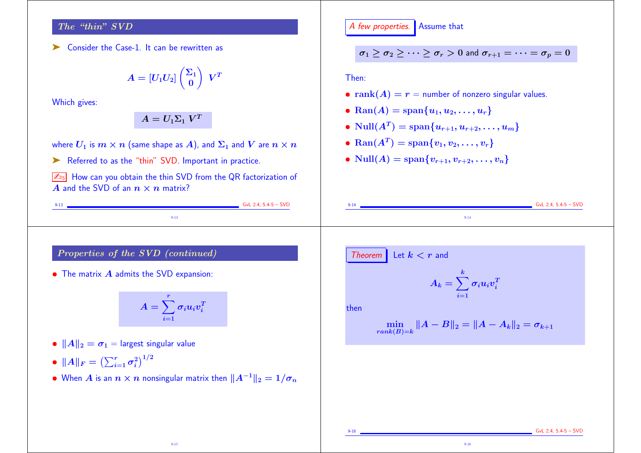## The "thin" SVD

➤ Consider the Case-1. It can be rewritten as

$$
A=[U_1U_2]\begin{pmatrix}\Sigma_1\\0\end{pmatrix}\;V^T
$$

Which gives:

 $A=U_1\Sigma_1~V^T$ 

where  $U_1$  is  $m \times n$  (same shape as A), and  $\Sigma_1$  and  $V$  are  $n \times n$ 

▶ Referred to as the "thin" SVD. Important in practice.

 $\sqrt{\mathbb{Z}_{15}}$  How can you obtain the thin SVD from the QR factorization of A and the SVD of an  $n \times n$  matrix?

9-13 GvL 2.4, 5.4-5 – SVD 9-13

A few properties. Assume that

$$
\sigma_1 \geq \sigma_2 \geq \cdots \geq \sigma_r > 0 \text{ and } \sigma_{r+1} = \cdots = \sigma_p = 0
$$

Then:

- $rank(A) = r =$  number of nonzero singular values.
- Ran(A) = span{ $u_1, u_2, ..., u_r$ }
- $\bullet \; \text{Null}(A^T) = \text{span}\{u_{r+1}, u_{r+2}, \ldots, u_m\}$
- Ran $(A^T) = \text{span}\{v_1, v_2, \ldots, v_r\}$
- Null $(A) = \text{span}\{v_{r+1}, v_{r+2}, \ldots, v_n\}$

Properties of the SVD (continued)

• The matrix  $\boldsymbol{A}$  admits the SVD expansion:

$$
A=\sum_{i=1}^r \sigma_i u_i v_i^T
$$

•  $||A||_2 = \sigma_1$  = largest singular value

 $\bullet \ \|A\|_F = \left(\sum_{i=1}^r \sigma_i^2\right)$  $\binom{2}{i}^{1/2}$ 

• When A is an  $n \times n$  nonsingular matrix then  $||A^{-1}||_2 = 1/\sigma_n$ 

Theorem Let 
$$
k < r
$$
 and

$$
A_k = \sum_{i=1}^k \sigma_i u_i v_i^T
$$

9-14 GvL 2.4, 5.4-5 – SVD 9-14

then

$$
\min_{rank(B)=k} \|A-B\|_2 = \|A-A_k\|_2 = \sigma_{k+1}
$$

9-16